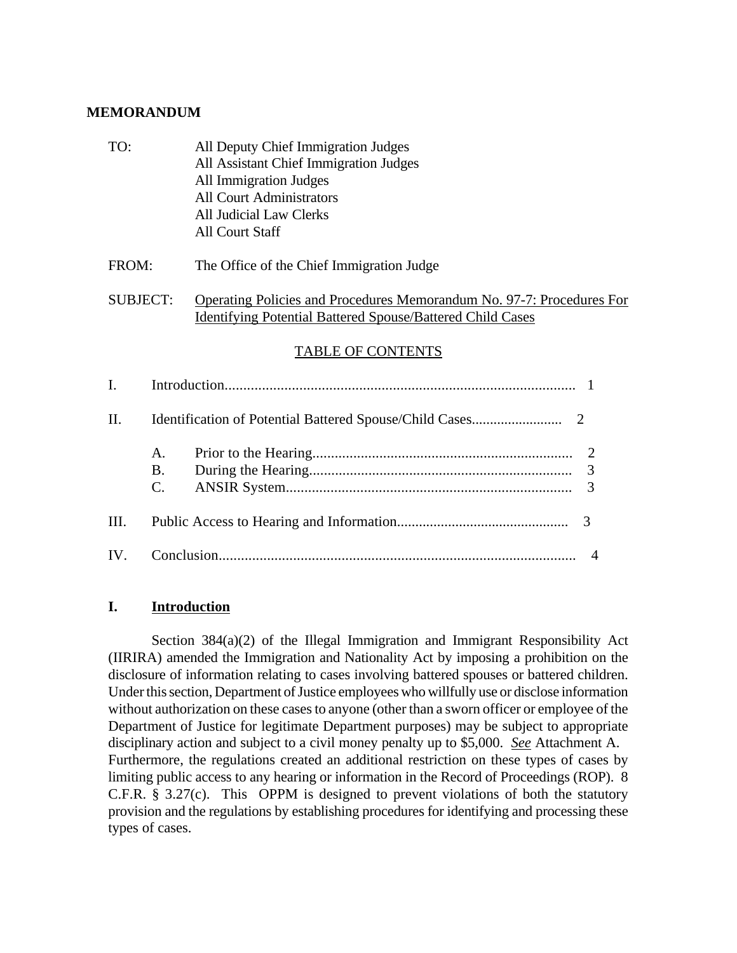### **MEMORANDUM**

TO: All Deputy Chief Immigration Judges All Assistant Chief Immigration Judges All Immigration Judges All Court Administrators All Judicial Law Clerks All Court Staff

# FROM: The Office of the Chief Immigration Judge

# SUBJECT: Operating Policies and Procedures Memorandum No. 97-7: Procedures For Identifying Potential Battered Spouse/Battered Child Cases

# TABLE OF CONTENTS

| $\mathbf{I}$      |                       |  |  |  |
|-------------------|-----------------------|--|--|--|
| $\Pi$ .           |                       |  |  |  |
|                   | A.<br><b>B.</b><br>C. |  |  |  |
| III.              |                       |  |  |  |
| $\mathbf{IV}_{-}$ |                       |  |  |  |

### **I. Introduction**

Section 384(a)(2) of the Illegal Immigration and Immigrant Responsibility Act (IIRIRA) amended the Immigration and Nationality Act by imposing a prohibition on the disclosure of information relating to cases involving battered spouses or battered children. Under this section, Department of Justice employees who willfully use or disclose information without authorization on these cases to anyone (other than a sworn officer or employee of the Department of Justice for legitimate Department purposes) may be subject to appropriate disciplinary action and subject to a civil money penalty up to \$5,000. *See* Attachment A. Furthermore, the regulations created an additional restriction on these types of cases by limiting public access to any hearing or information in the Record of Proceedings (ROP). 8 C.F.R. § 3.27(c). This OPPM is designed to prevent violations of both the statutory provision and the regulations by establishing procedures for identifying and processing these types of cases.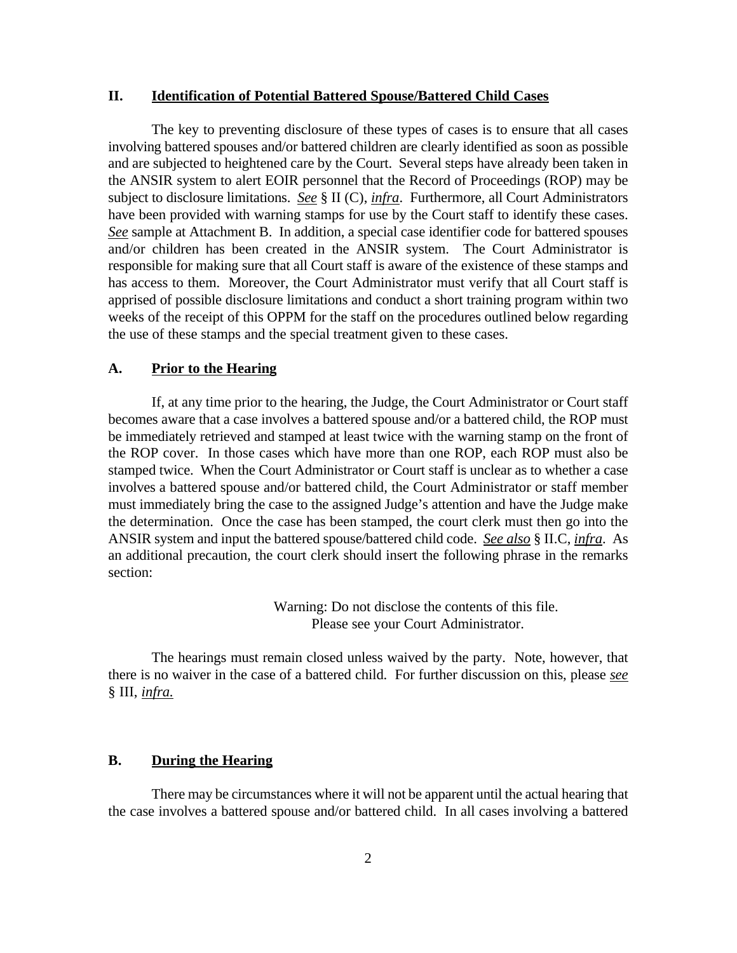### **II. Identification of Potential Battered Spouse/Battered Child Cases**

The key to preventing disclosure of these types of cases is to ensure that all cases involving battered spouses and/or battered children are clearly identified as soon as possible and are subjected to heightened care by the Court. Several steps have already been taken in the ANSIR system to alert EOIR personnel that the Record of Proceedings (ROP) may be subject to disclosure limitations. *See* § II (C), *infra*. Furthermore, all Court Administrators have been provided with warning stamps for use by the Court staff to identify these cases. *See* sample at Attachment B. In addition, a special case identifier code for battered spouses and/or children has been created in the ANSIR system. The Court Administrator is responsible for making sure that all Court staff is aware of the existence of these stamps and has access to them. Moreover, the Court Administrator must verify that all Court staff is apprised of possible disclosure limitations and conduct a short training program within two weeks of the receipt of this OPPM for the staff on the procedures outlined below regarding the use of these stamps and the special treatment given to these cases.

### **A. Prior to the Hearing**

If, at any time prior to the hearing, the Judge, the Court Administrator or Court staff becomes aware that a case involves a battered spouse and/or a battered child, the ROP must be immediately retrieved and stamped at least twice with the warning stamp on the front of the ROP cover. In those cases which have more than one ROP, each ROP must also be stamped twice. When the Court Administrator or Court staff is unclear as to whether a case involves a battered spouse and/or battered child, the Court Administrator or staff member must immediately bring the case to the assigned Judge's attention and have the Judge make the determination. Once the case has been stamped, the court clerk must then go into the ANSIR system and input the battered spouse/battered child code. *See also* § II.C, *infra*. As an additional precaution, the court clerk should insert the following phrase in the remarks section:

> Warning: Do not disclose the contents of this file. Please see your Court Administrator.

The hearings must remain closed unless waived by the party. Note, however, that there is no waiver in the case of a battered child. For further discussion on this, please *see* § III, *infra.*

### **B. During the Hearing**

There may be circumstances where it will not be apparent until the actual hearing that the case involves a battered spouse and/or battered child. In all cases involving a battered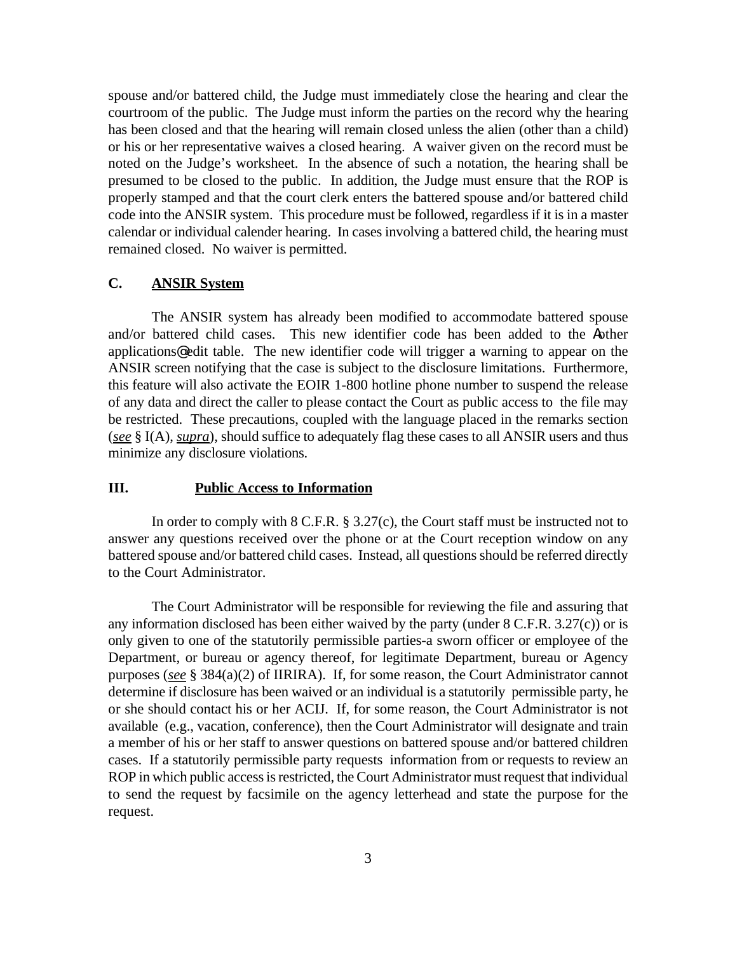spouse and/or battered child, the Judge must immediately close the hearing and clear the courtroom of the public. The Judge must inform the parties on the record why the hearing has been closed and that the hearing will remain closed unless the alien (other than a child) or his or her representative waives a closed hearing. A waiver given on the record must be noted on the Judge's worksheet. In the absence of such a notation, the hearing shall be presumed to be closed to the public. In addition, the Judge must ensure that the ROP is properly stamped and that the court clerk enters the battered spouse and/or battered child code into the ANSIR system. This procedure must be followed, regardless if it is in a master calendar or individual calender hearing. In cases involving a battered child, the hearing must remained closed. No waiver is permitted.

### **C. ANSIR System**

The ANSIR system has already been modified to accommodate battered spouse and/or battered child cases. This new identifier code has been added to the Aother applications@ edit table. The new identifier code will trigger a warning to appear on the ANSIR screen notifying that the case is subject to the disclosure limitations. Furthermore, this feature will also activate the EOIR 1-800 hotline phone number to suspend the release of any data and direct the caller to please contact the Court as public access to the file may be restricted. These precautions, coupled with the language placed in the remarks section (*see* § I(A), *supra*), should suffice to adequately flag these cases to all ANSIR users and thus minimize any disclosure violations.

#### **III. Public Access to Information**

In order to comply with 8 C.F.R. § 3.27(c), the Court staff must be instructed not to answer any questions received over the phone or at the Court reception window on any battered spouse and/or battered child cases. Instead, all questions should be referred directly to the Court Administrator.

The Court Administrator will be responsible for reviewing the file and assuring that any information disclosed has been either waived by the party (under 8 C.F.R. 3.27(c)) or is only given to one of the statutorily permissible parties-a sworn officer or employee of the Department, or bureau or agency thereof, for legitimate Department, bureau or Agency purposes (*see* § 384(a)(2) of IIRIRA). If, for some reason, the Court Administrator cannot determine if disclosure has been waived or an individual is a statutorily permissible party, he or she should contact his or her ACIJ. If, for some reason, the Court Administrator is not available (e.g., vacation, conference), then the Court Administrator will designate and train a member of his or her staff to answer questions on battered spouse and/or battered children cases. If a statutorily permissible party requests information from or requests to review an ROP in which public access is restricted, the Court Administrator must request that individual to send the request by facsimile on the agency letterhead and state the purpose for the request.